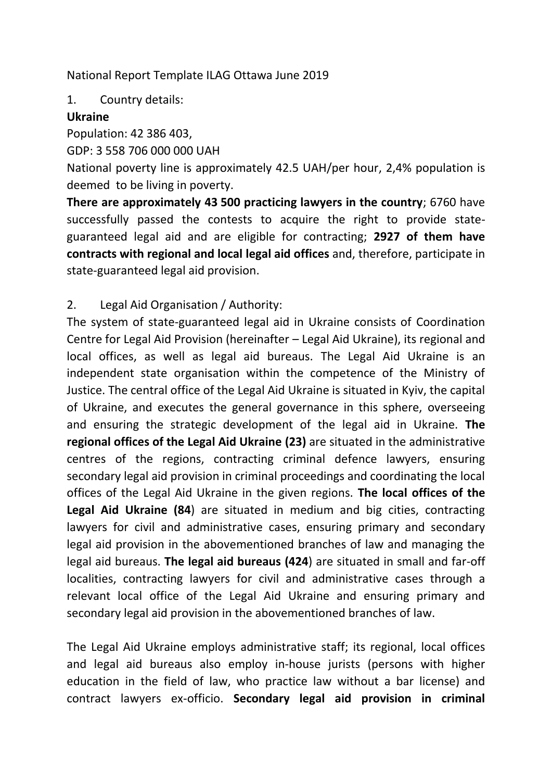National Report Template ILAG Ottawa June 2019

1. Country details:

### **Ukraine**

Population: 42 386 403,

GDP: 3 558 706 000 000 UAH

National poverty line is approximately 42.5 UAH/per hour, 2,4% population is deemed to be living in poverty.

**There are approximately 43 500 practicing lawyers in the country**; 6760 have successfully passed the contests to acquire the right to provide stateguaranteed legal aid and are eligible for contracting; **2927 of them have contracts with regional and local legal aid offices** and, therefore, participate in state-guaranteed legal aid provision.

# 2. Legal Aid Organisation / Authority:

The system of state-guaranteed legal aid in Ukraine consists of Coordination Centre for Legal Aid Provision (hereinafter – Legal Aid Ukraine), its regional and local offices, as well as legal aid bureaus. The Legal Aid Ukraine is an independent state organisation within the competence of the Ministry of Justice. The central office of the Legal Aid Ukraine is situated in Kyiv, the capital of Ukraine, and executes the general governance in this sphere, overseeing and ensuring the strategic development of the legal aid in Ukraine. **The regional offices of the Legal Aid Ukraine (23)** are situated in the administrative centres of the regions, contracting criminal defence lawyers, ensuring secondary legal aid provision in criminal proceedings and coordinating the local offices of the Legal Aid Ukraine in the given regions. **The local offices of the Legal Aid Ukraine (84**) are situated in medium and big cities, contracting lawyers for civil and administrative cases, ensuring primary and secondary legal aid provision in the abovementioned branches of law and managing the legal aid bureaus. **The legal aid bureaus (424**) are situated in small and far-off localities, contracting lawyers for civil and administrative cases through a relevant local office of the Legal Aid Ukraine and ensuring primary and secondary legal aid provision in the abovementioned branches of law.

The Legal Aid Ukraine employs administrative staff; its regional, local offices and legal aid bureaus also employ in-house jurists (persons with higher education in the field of law, who practice law without a bar license) and contract lawyers ex-officio. **Secondary legal aid provision in criminal**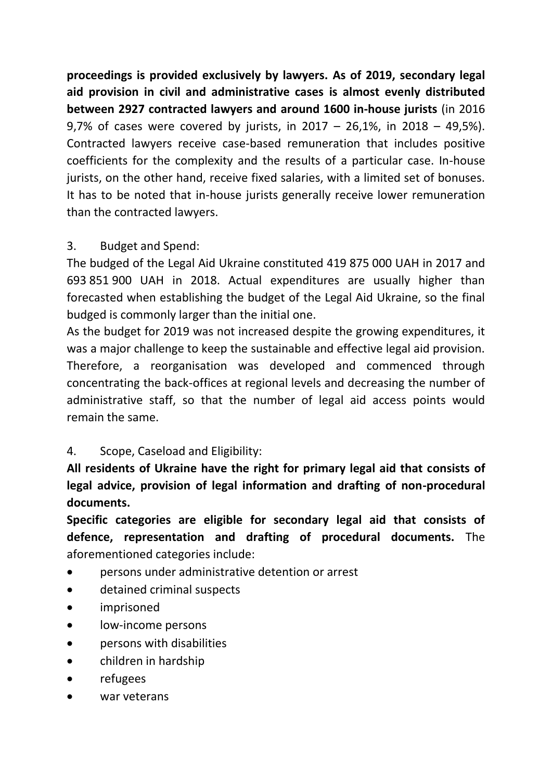**proceedings is provided exclusively by lawyers. As of 2019, secondary legal aid provision in civil and administrative cases is almost evenly distributed between 2927 contracted lawyers and around 1600 in-house jurists** (in 2016 9,7% of cases were covered by jurists, in 2017 – 26,1%, in 2018 – 49,5%). Contracted lawyers receive case-based remuneration that includes positive coefficients for the complexity and the results of a particular case. In-house jurists, on the other hand, receive fixed salaries, with a limited set of bonuses. It has to be noted that in-house jurists generally receive lower remuneration than the contracted lawyers.

## 3. Budget and Spend:

The budged of the Legal Aid Ukraine constituted 419 875 000 UAH in 2017 and 693 851 900 UAH in 2018. Actual expenditures are usually higher than forecasted when establishing the budget of the Legal Aid Ukraine, so the final budged is commonly larger than the initial one.

As the budget for 2019 was not increased despite the growing expenditures, it was a major challenge to keep the sustainable and effective legal aid provision. Therefore, a reorganisation was developed and commenced through concentrating the back-offices at regional levels and decreasing the number of administrative staff, so that the number of legal aid access points would remain the same.

## 4. Scope, Caseload and Eligibility:

**All residents of Ukraine have the right for primary legal aid that consists of legal advice, provision of legal information and drafting of non-procedural documents.**

**Specific categories are eligible for secondary legal aid that consists of defence, representation and drafting of procedural documents.** The aforementioned categories include:

- persons under administrative detention or arrest
- detained criminal suspects
- imprisoned
- low-income persons
- persons with disabilities
- **•** children in hardship
- refugees
- war veterans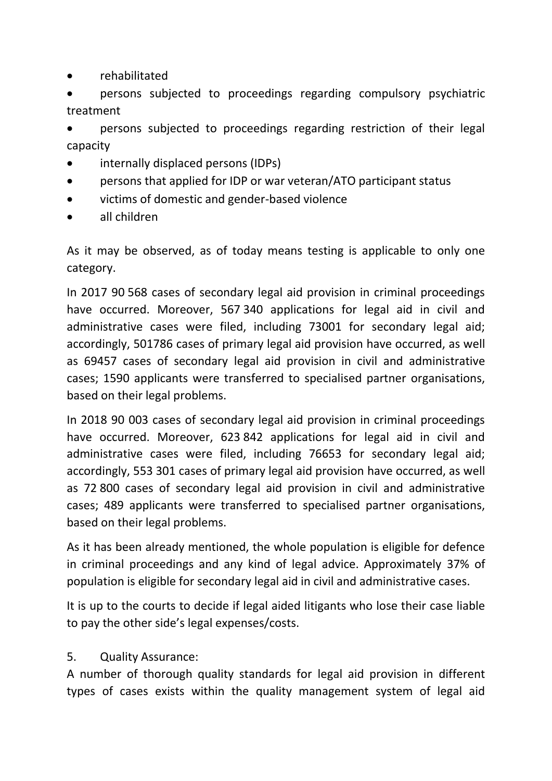rehabilitated

 persons subjected to proceedings regarding compulsory psychiatric treatment

 persons subjected to proceedings regarding restriction of their legal capacity

- internally displaced persons (IDPs)
- persons that applied for IDP or war veteran/ATO participant status
- victims of domestic and gender-based violence
- all children

As it may be observed, as of today means testing is applicable to only one category.

In 2017 90 568 cases of secondary legal aid provision in criminal proceedings have occurred. Moreover, 567 340 applications for legal aid in civil and administrative cases were filed, including 73001 for secondary legal aid; accordingly, 501786 cases of primary legal aid provision have occurred, as well as 69457 cases of secondary legal aid provision in civil and administrative cases; 1590 applicants were transferred to specialised partner organisations, based on their legal problems.

In 2018 90 003 cases of secondary legal aid provision in criminal proceedings have occurred. Moreover, 623 842 applications for legal aid in civil and administrative cases were filed, including 76653 for secondary legal aid; accordingly, 553 301 cases of primary legal aid provision have occurred, as well as 72 800 cases of secondary legal aid provision in civil and administrative cases; 489 applicants were transferred to specialised partner organisations, based on their legal problems.

As it has been already mentioned, the whole population is eligible for defence in criminal proceedings and any kind of legal advice. Approximately 37% of population is eligible for secondary legal aid in civil and administrative cases.

It is up to the courts to decide if legal aided litigants who lose their case liable to pay the other side's legal expenses/costs.

#### 5. Quality Assurance:

A number of thorough quality standards for legal aid provision in different types of cases exists within the quality management system of legal aid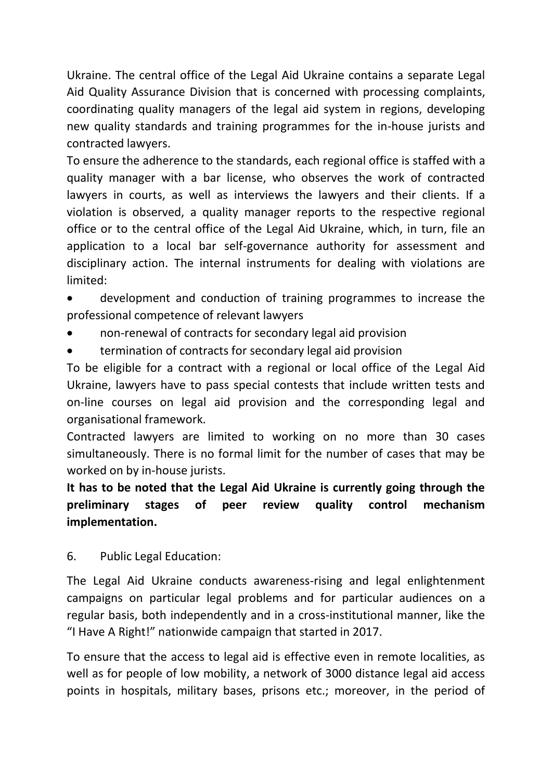Ukraine. The central office of the Legal Aid Ukraine contains a separate Legal Aid Quality Assurance Division that is concerned with processing complaints, coordinating quality managers of the legal aid system in regions, developing new quality standards and training programmes for the in-house jurists and contracted lawyers.

To ensure the adherence to the standards, each regional office is staffed with a quality manager with a bar license, who observes the work of contracted lawyers in courts, as well as interviews the lawyers and their clients. If a violation is observed, a quality manager reports to the respective regional office or to the central office of the Legal Aid Ukraine, which, in turn, file an application to a local bar self-governance authority for assessment and disciplinary action. The internal instruments for dealing with violations are limited:

- development and conduction of training programmes to increase the professional competence of relevant lawyers
- non-renewal of contracts for secondary legal aid provision
- termination of contracts for secondary legal aid provision

To be eligible for a contract with a regional or local office of the Legal Aid Ukraine, lawyers have to pass special contests that include written tests and on-line courses on legal aid provision and the corresponding legal and organisational framework.

Contracted lawyers are limited to working on no more than 30 cases simultaneously. There is no formal limit for the number of cases that may be worked on by in-house jurists.

# **It has to be noted that the Legal Aid Ukraine is currently going through the preliminary stages of peer review quality control mechanism implementation.**

6. Public Legal Education:

The Legal Aid Ukraine conducts awareness-rising and legal enlightenment campaigns on particular legal problems and for particular audiences on a regular basis, both independently and in a cross-institutional manner, like the "I Have A Right!" nationwide campaign that started in 2017.

To ensure that the access to legal aid is effective even in remote localities, as well as for people of low mobility, a network of 3000 distance legal aid access points in hospitals, military bases, prisons etc.; moreover, in the period of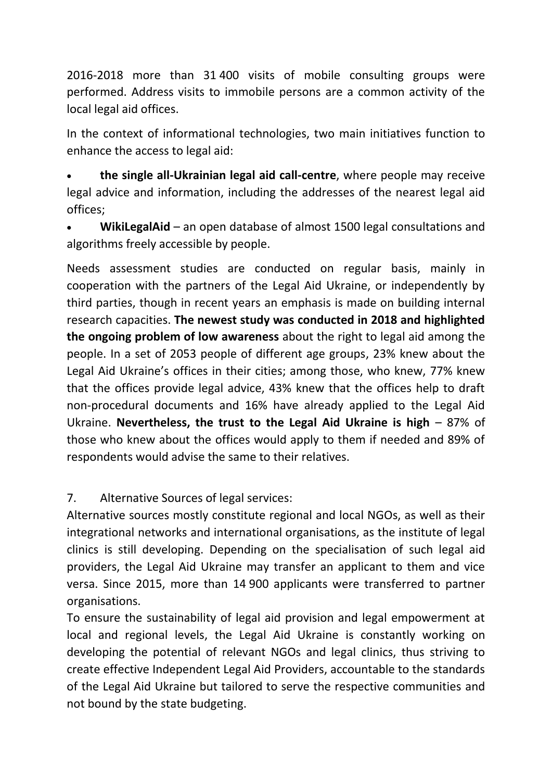2016-2018 more than 31 400 visits of mobile consulting groups were performed. Address visits to immobile persons are a common activity of the local legal aid offices.

In the context of informational technologies, two main initiatives function to enhance the access to legal aid:

 **the single all-Ukrainian legal aid call-centre**, where people may receive legal advice and information, including the addresses of the nearest legal aid offices;

 **WikiLegalAid** – an open database of almost 1500 legal consultations and algorithms freely accessible by people.

Needs assessment studies are conducted on regular basis, mainly in cooperation with the partners of the Legal Aid Ukraine, or independently by third parties, though in recent years an emphasis is made on building internal research capacities. **The newest study was conducted in 2018 and highlighted the ongoing problem of low awareness** about the right to legal aid among the people. In a set of 2053 people of different age groups, 23% knew about the Legal Aid Ukraine's offices in their cities; among those, who knew, 77% knew that the offices provide legal advice, 43% knew that the offices help to draft non-procedural documents and 16% have already applied to the Legal Aid Ukraine. **Nevertheless, the trust to the Legal Aid Ukraine is high** – 87% of those who knew about the offices would apply to them if needed and 89% of respondents would advise the same to their relatives.

7. Alternative Sources of legal services:

Alternative sources mostly constitute regional and local NGOs, as well as their integrational networks and international organisations, as the institute of legal clinics is still developing. Depending on the specialisation of such legal aid providers, the Legal Aid Ukraine may transfer an applicant to them and vice versa. Since 2015, more than 14 900 applicants were transferred to partner organisations.

To ensure the sustainability of legal aid provision and legal empowerment at local and regional levels, the Legal Aid Ukraine is constantly working on developing the potential of relevant NGOs and legal clinics, thus striving to create effective Independent Legal Aid Providers, accountable to the standards of the Legal Aid Ukraine but tailored to serve the respective communities and not bound by the state budgeting.